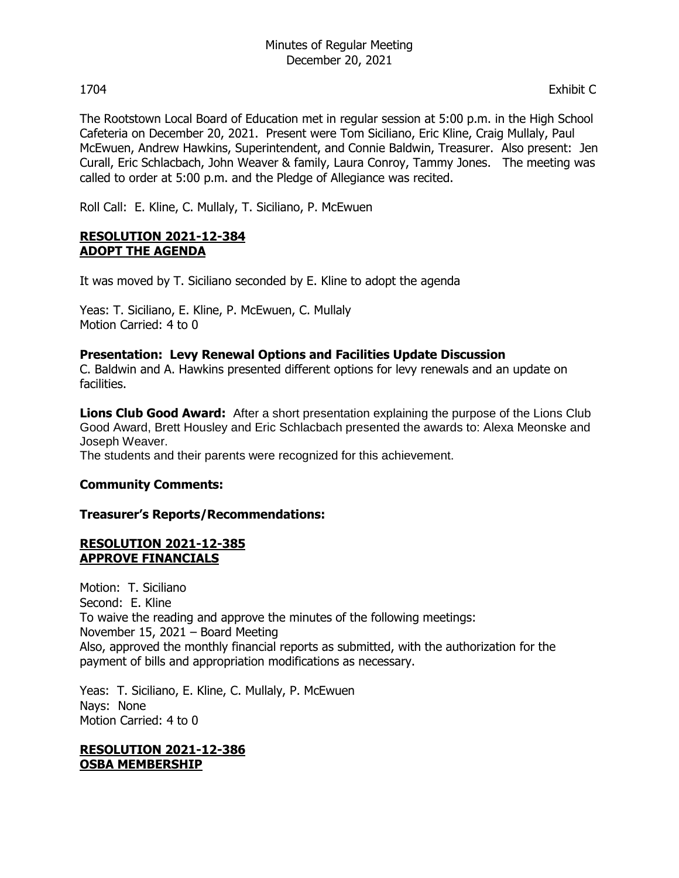The Rootstown Local Board of Education met in regular session at 5:00 p.m. in the High School Cafeteria on December 20, 2021. Present were Tom Siciliano, Eric Kline, Craig Mullaly, Paul McEwuen, Andrew Hawkins, Superintendent, and Connie Baldwin, Treasurer. Also present: Jen Curall, Eric Schlacbach, John Weaver & family, Laura Conroy, Tammy Jones. The meeting was called to order at 5:00 p.m. and the Pledge of Allegiance was recited.

Roll Call: E. Kline, C. Mullaly, T. Siciliano, P. McEwuen

## **RESOLUTION 2021-12-384 ADOPT THE AGENDA**

It was moved by T. Siciliano seconded by E. Kline to adopt the agenda

Yeas: T. Siciliano, E. Kline, P. McEwuen, C. Mullaly Motion Carried: 4 to 0

## **Presentation: Levy Renewal Options and Facilities Update Discussion**

C. Baldwin and A. Hawkins presented different options for levy renewals and an update on facilities.

**Lions Club Good Award:** After a short presentation explaining the purpose of the Lions Club Good Award, Brett Housley and Eric Schlacbach presented the awards to: Alexa Meonske and Joseph Weaver.

The students and their parents were recognized for this achievement.

# **Community Comments:**

### **Treasurer's Reports/Recommendations:**

### **RESOLUTION 2021-12-385 APPROVE FINANCIALS**

Motion: T. Siciliano Second: E. Kline To waive the reading and approve the minutes of the following meetings: November 15, 2021 – Board Meeting Also, approved the monthly financial reports as submitted, with the authorization for the payment of bills and appropriation modifications as necessary.

Yeas: T. Siciliano, E. Kline, C. Mullaly, P. McEwuen Nays: None Motion Carried: 4 to 0

### **RESOLUTION 2021-12-386 OSBA MEMBERSHIP**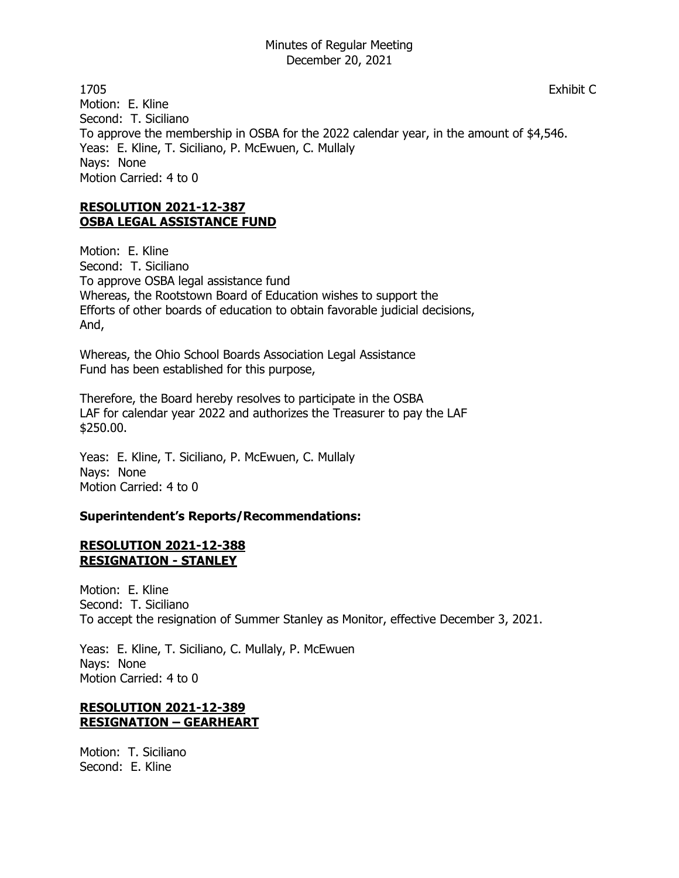1705 Exhibit C Motion: E. Kline Second: T. Siciliano To approve the membership in OSBA for the 2022 calendar year, in the amount of \$4,546. Yeas: E. Kline, T. Siciliano, P. McEwuen, C. Mullaly Nays: None Motion Carried: 4 to 0

## **RESOLUTION 2021-12-387 OSBA LEGAL ASSISTANCE FUND**

Motion: E. Kline Second: T. Siciliano To approve OSBA legal assistance fund Whereas, the Rootstown Board of Education wishes to support the Efforts of other boards of education to obtain favorable judicial decisions, And,

Whereas, the Ohio School Boards Association Legal Assistance Fund has been established for this purpose,

Therefore, the Board hereby resolves to participate in the OSBA LAF for calendar year 2022 and authorizes the Treasurer to pay the LAF \$250.00.

Yeas: E. Kline, T. Siciliano, P. McEwuen, C. Mullaly Nays: None Motion Carried: 4 to 0

# **Superintendent's Reports/Recommendations:**

### **RESOLUTION 2021-12-388 RESIGNATION - STANLEY**

Motion: E. Kline Second: T. Siciliano To accept the resignation of Summer Stanley as Monitor, effective December 3, 2021.

Yeas: E. Kline, T. Siciliano, C. Mullaly, P. McEwuen Nays: None Motion Carried: 4 to 0

# **RESOLUTION 2021-12-389 RESIGNATION – GEARHEART**

Motion: T. Siciliano Second: E. Kline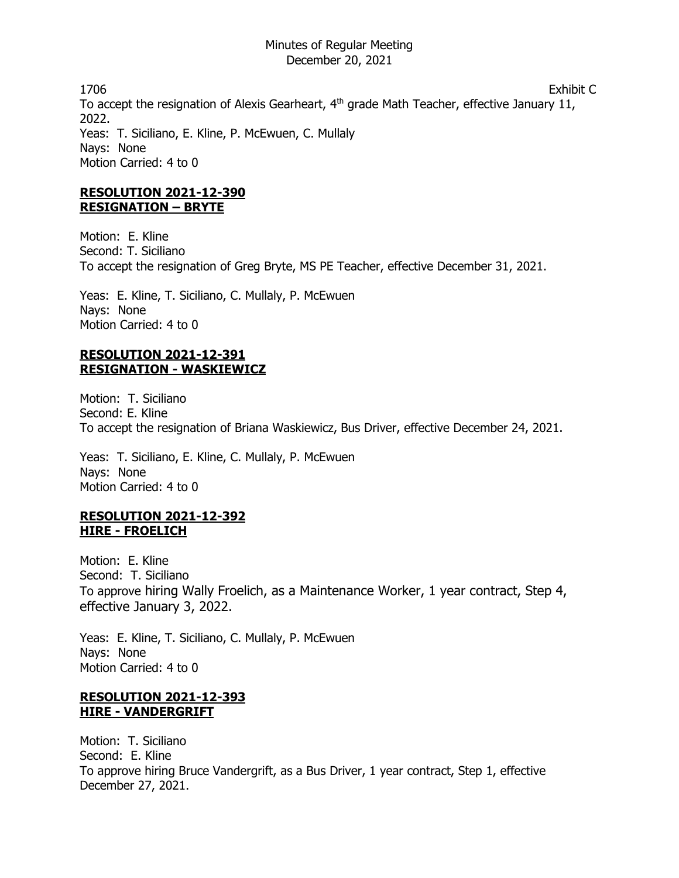1706 Exhibit C To accept the resignation of Alexis Gearheart, 4<sup>th</sup> grade Math Teacher, effective January 11, 2022. Yeas: T. Siciliano, E. Kline, P. McEwuen, C. Mullaly Nays: None Motion Carried: 4 to 0

# **RESOLUTION 2021-12-390 RESIGNATION – BRYTE**

Motion: E. Kline Second: T. Siciliano To accept the resignation of Greg Bryte, MS PE Teacher, effective December 31, 2021.

Yeas: E. Kline, T. Siciliano, C. Mullaly, P. McEwuen Nays: None Motion Carried: 4 to 0

# **RESOLUTION 2021-12-391 RESIGNATION - WASKIEWICZ**

Motion: T. Siciliano Second: E. Kline To accept the resignation of Briana Waskiewicz, Bus Driver, effective December 24, 2021.

Yeas: T. Siciliano, E. Kline, C. Mullaly, P. McEwuen Nays: None Motion Carried: 4 to 0

## **RESOLUTION 2021-12-392 HIRE - FROELICH**

Motion: E. Kline Second: T. Siciliano To approve hiring Wally Froelich, as a Maintenance Worker, 1 year contract, Step 4, effective January 3, 2022.

Yeas: E. Kline, T. Siciliano, C. Mullaly, P. McEwuen Nays: None Motion Carried: 4 to 0

## **RESOLUTION 2021-12-393 HIRE - VANDERGRIFT**

Motion: T. Siciliano Second: E. Kline To approve hiring Bruce Vandergrift, as a Bus Driver, 1 year contract, Step 1, effective December 27, 2021.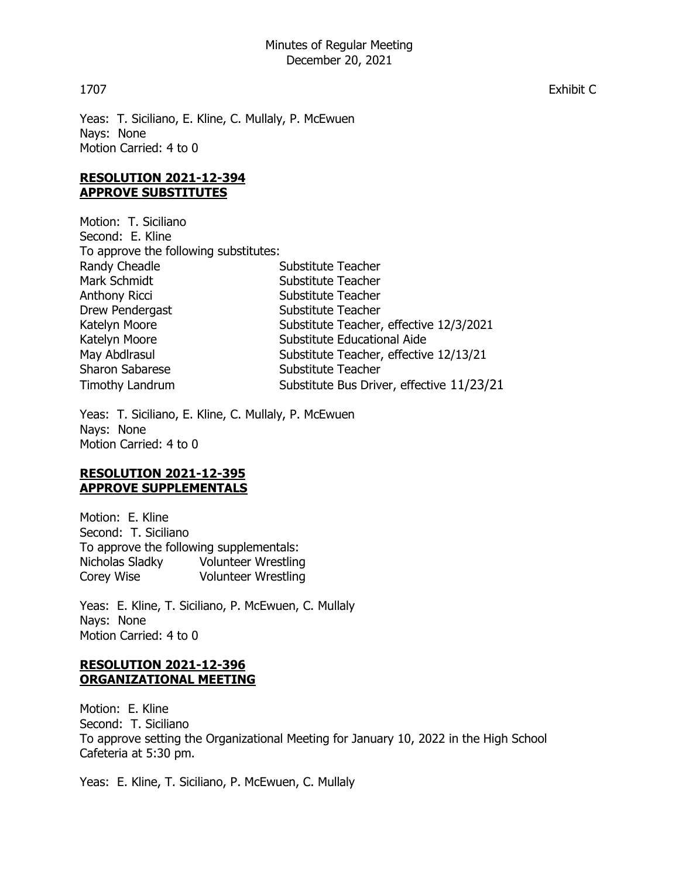Yeas: T. Siciliano, E. Kline, C. Mullaly, P. McEwuen Nays: None Motion Carried: 4 to 0

## **RESOLUTION 2021-12-394 APPROVE SUBSTITUTES**

Motion: T. Siciliano Second: E. Kline To approve the following substitutes: Randy Cheadle Substitute Teacher Mark Schmidt Substitute Teacher Anthony Ricci Substitute Teacher Drew Pendergast Substitute Teacher Katelyn Moore Substitute Teacher, effective 12/3/2021 Katelyn Moore Substitute Educational Aide May Abdirasul Substitute Teacher, effective 12/13/21 Sharon Sabarese Substitute Teacher Timothy Landrum Substitute Bus Driver, effective 11/23/21

Yeas: T. Siciliano, E. Kline, C. Mullaly, P. McEwuen Nays: None Motion Carried: 4 to 0

## **RESOLUTION 2021-12-395 APPROVE SUPPLEMENTALS**

Motion: E. Kline Second: T. Siciliano To approve the following supplementals: Nicholas Sladky Volunteer Wrestling Corey Wise Volunteer Wrestling

Yeas: E. Kline, T. Siciliano, P. McEwuen, C. Mullaly Nays: None Motion Carried: 4 to 0

# **RESOLUTION 2021-12-396 ORGANIZATIONAL MEETING**

Motion: E. Kline Second: T. Siciliano To approve setting the Organizational Meeting for January 10, 2022 in the High School Cafeteria at 5:30 pm.

Yeas: E. Kline, T. Siciliano, P. McEwuen, C. Mullaly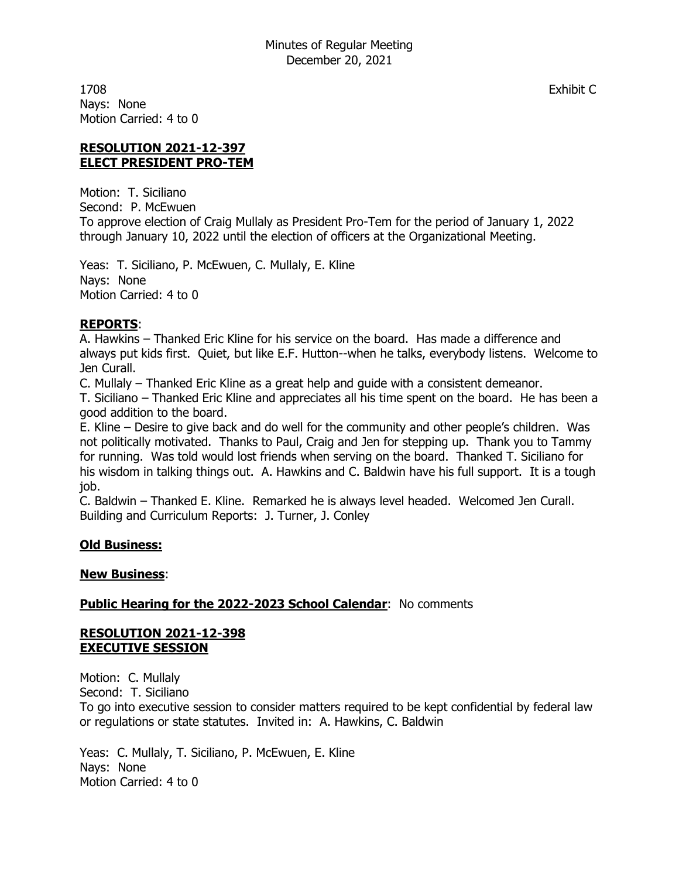1708 Exhibit C Nays: None Motion Carried: 4 to 0

## **RESOLUTION 2021-12-397 ELECT PRESIDENT PRO-TEM**

Motion: T. Siciliano Second: P. McEwuen To approve election of Craig Mullaly as President Pro-Tem for the period of January 1, 2022 through January 10, 2022 until the election of officers at the Organizational Meeting.

Yeas: T. Siciliano, P. McEwuen, C. Mullaly, E. Kline Nays: None Motion Carried: 4 to 0

# **REPORTS**:

A. Hawkins – Thanked Eric Kline for his service on the board. Has made a difference and always put kids first. Quiet, but like E.F. Hutton--when he talks, everybody listens. Welcome to Jen Curall.

C. Mullaly – Thanked Eric Kline as a great help and guide with a consistent demeanor.

T. Siciliano – Thanked Eric Kline and appreciates all his time spent on the board. He has been a good addition to the board.

E. Kline – Desire to give back and do well for the community and other people's children. Was not politically motivated. Thanks to Paul, Craig and Jen for stepping up. Thank you to Tammy for running. Was told would lost friends when serving on the board. Thanked T. Siciliano for his wisdom in talking things out. A. Hawkins and C. Baldwin have his full support. It is a tough job.

C. Baldwin – Thanked E. Kline. Remarked he is always level headed. Welcomed Jen Curall. Building and Curriculum Reports: J. Turner, J. Conley

# **Old Business:**

### **New Business**:

### **Public Hearing for the 2022-2023 School Calendar: No comments**

### **RESOLUTION 2021-12-398 EXECUTIVE SESSION**

Motion: C. Mullaly Second: T. Siciliano To go into executive session to consider matters required to be kept confidential by federal law or regulations or state statutes. Invited in: A. Hawkins, C. Baldwin

Yeas: C. Mullaly, T. Siciliano, P. McEwuen, E. Kline Nays: None Motion Carried: 4 to 0